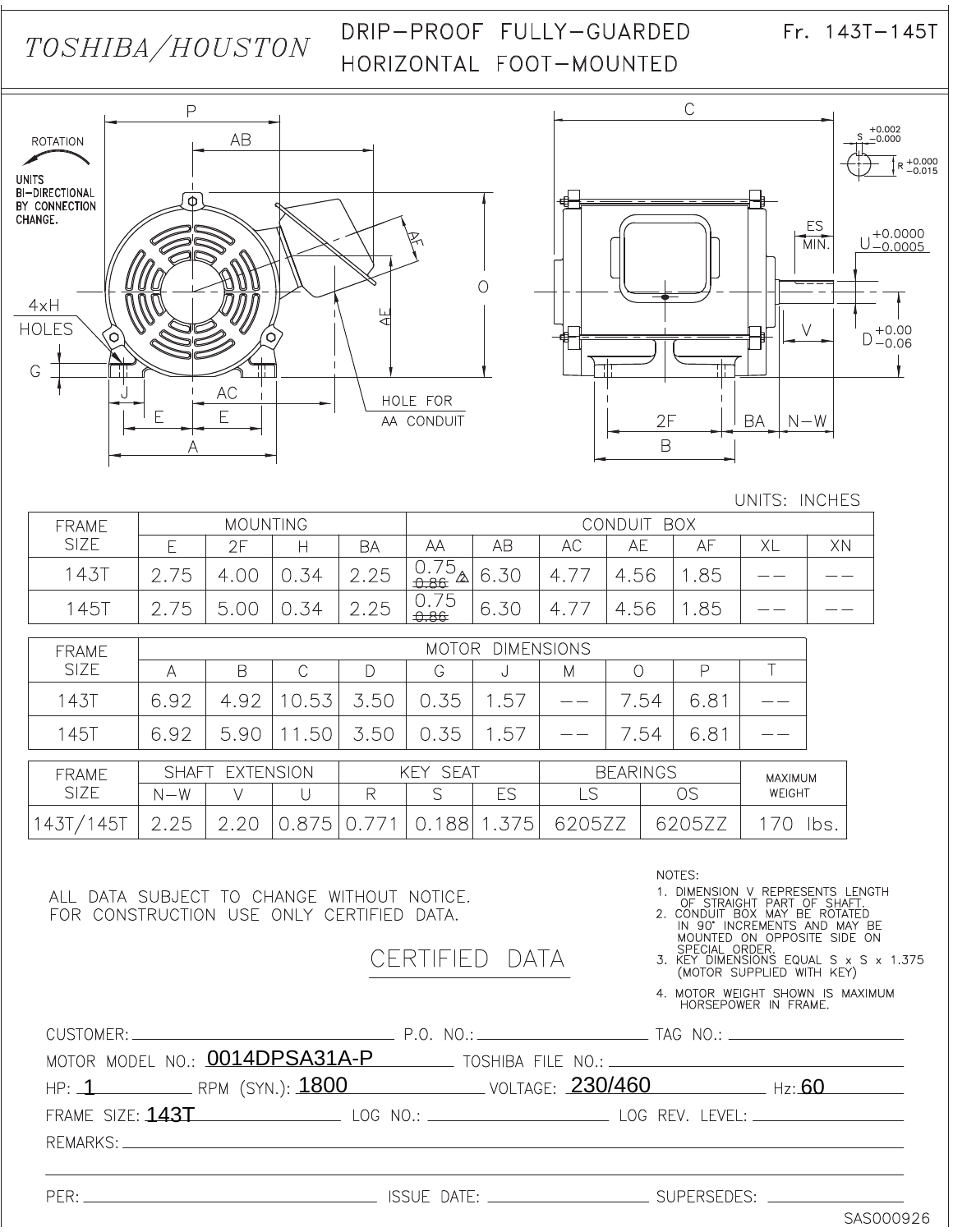# TOSHIBA/HOUSTON

## DRIP-PROOF FULLY-GUARDED HORIZONTAL FOOT-MOUNTED

 $Fr. 143T - 145T$ 





#### UNITS: INCHES

| <b>FRAME</b> | <b>MOUNTING</b> |      |    |                      | CONDUIT BOX                               |      |                |                         |     |    |    |
|--------------|-----------------|------|----|----------------------|-------------------------------------------|------|----------------|-------------------------|-----|----|----|
| <b>SIZE</b>  |                 | クロ   |    | BΑ                   | ΑА                                        | AB   | АC             | AE                      | AF  | XL | XN |
| 1431         | '5              | 0.00 | 34 | 2.25                 | フ斥<br>$\frac{0.7}{9.86}$ $\Delta$<br>0.86 | 6.30 |                | $-56$<br>$\overline{4}$ | .85 |    |    |
| 1457         | '5              | Г,   | 34 | クゟ<br>$\cap$<br>Z.ZJ | 0.75<br>0.86                              | 6.30 | $\overline{4}$ | $-56$<br>$\overline{4}$ | .85 |    |    |

| <b>FRAME</b>             | <b>DIMENSIONS</b><br><b>MOTOR</b> |                 |                   |      |                 |             |       |                 |               |         |
|--------------------------|-----------------------------------|-----------------|-------------------|------|-----------------|-------------|-------|-----------------|---------------|---------|
| <b>SIZE</b>              | Α                                 | В               |                   |      | G               | ∪           | М     |                 | ₽             |         |
| <b>143T</b>              | 6.92                              | 4.92            | .53<br>10         | 3.50 | 0.35            | 1.57        |       | .54             | $6.8^{\circ}$ |         |
| <b>145T</b>              | 6.92                              | 5.90            | .50<br>$\sqrt{1}$ | 3.50 | 0.35            | 1.57        |       | .54             | $6.8^{\circ}$ |         |
| <b>FRAME</b>             |                                   | SHAFT EXTENSION |                   |      | <b>KEY SEAT</b> |             |       | <b>BEARINGS</b> |               | MAXIMUM |
| <b>SIZE</b>              | $N-W$                             |                 |                   | R    | S               | ES          | _S    |                 | OS            | WEIGHT  |
| .45 <sup>7</sup><br>143, | 2.25                              | 2.20            | $0.8^{-}$<br>5    |      | 88              | $5^{\circ}$ | 'U5∠∠ |                 | 620<br>)5.    | lbs     |

ALL DATA SUBJECT TO CHANGE WITHOUT NOTICE. FOR CONSTRUCTION USE ONLY CERTIFIED DATA.

CERTIFIED DATA

NOTES:

1. DIMENSION V REPRESENTS LENGTH<br>
OF STRAIGHT PART OF SHAFT.<br>
2. CONDUIT BOX MAY BE ROTATED<br>
IN 90' INCREMENTS AND MAY BE<br>
MOUNTED ON OPPOSITE SIDE ON<br>
SPECIAL OPN P

SPECIAL ORDER.<br>3. KEY DIMENSIONS EQUAL S x S x 1.375<br>(MOTOR SUPPLIED WITH KEY)

4. MOTOR WEIGHT SHOWN IS MAXIMUM<br>HORSEPOWER IN FRAME.

|  | MOTOR MODEL NO.: $0014DPSA31A-P$ toshiba file no.: $\overline{\phantom{a}}$      |  |
|--|----------------------------------------------------------------------------------|--|
|  | HP: 1 RPM (SYN.): 1800 VOLTAGE: 230/460 Hz: 60                                   |  |
|  | FRAME SIZE: 143T LOG NO.: LOG NO.: LOG REV. LEVEL: _____________________________ |  |
|  |                                                                                  |  |
|  |                                                                                  |  |

 $PER:$ 

\_ SUPERSEDES: \_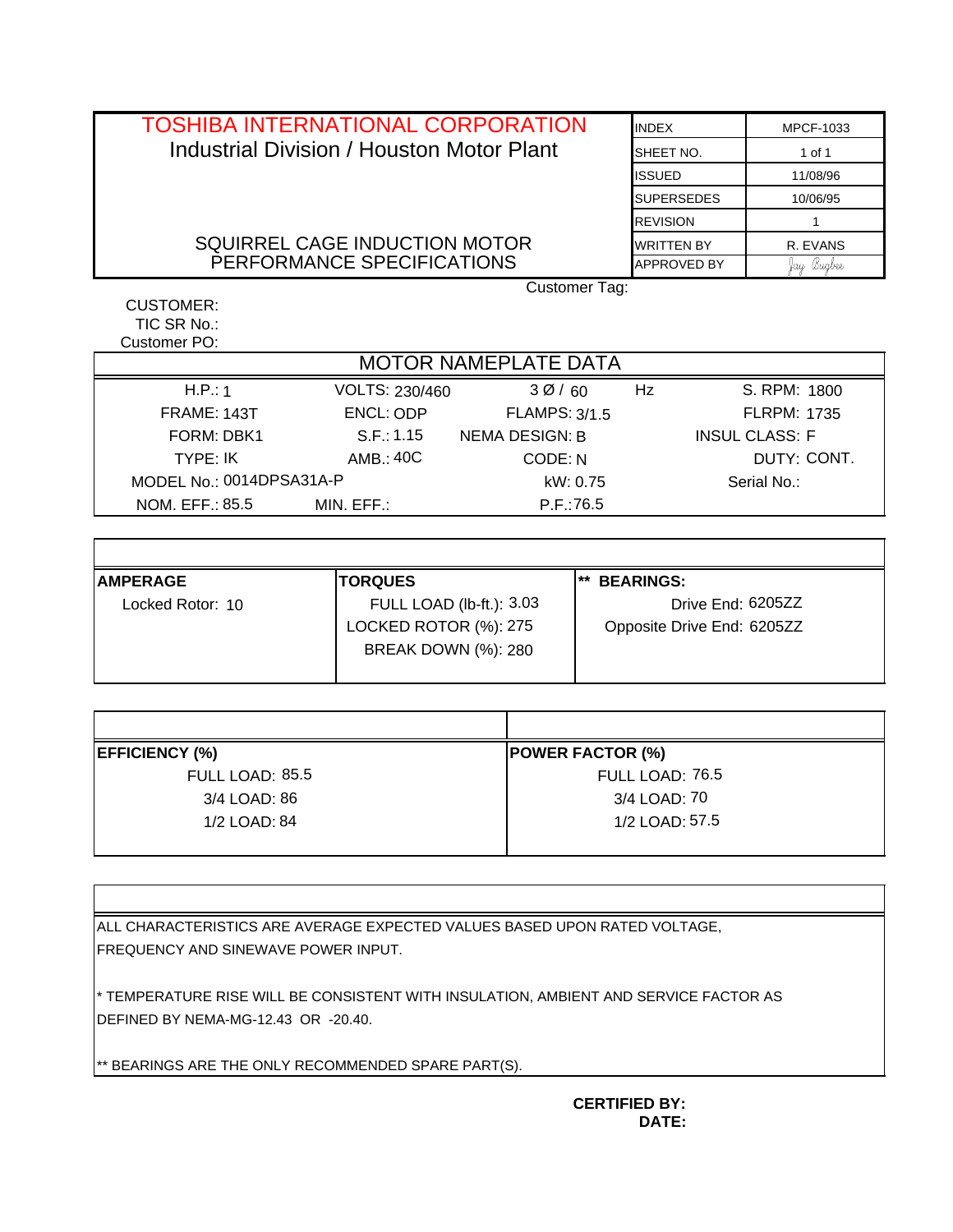| <b>TOSHIBA INTERNATIONAL CORPORATION</b>         | <b>INDEX</b>       | <b>MPCF-1033</b> |  |  |  |  |  |  |
|--------------------------------------------------|--------------------|------------------|--|--|--|--|--|--|
| <b>Industrial Division / Houston Motor Plant</b> | SHEET NO.          | 1 of 1           |  |  |  |  |  |  |
|                                                  | <b>ISSUED</b>      | 11/08/96         |  |  |  |  |  |  |
|                                                  | <b>SUPERSEDES</b>  | 10/06/95         |  |  |  |  |  |  |
|                                                  | <b>REVISION</b>    |                  |  |  |  |  |  |  |
| SQUIRREL CAGE INDUCTION MOTOR                    | <b>WRITTEN BY</b>  | R. EVANS         |  |  |  |  |  |  |
| PERFORMANCE SPECIFICATIONS                       | <b>APPROVED BY</b> | fay Bugbee       |  |  |  |  |  |  |
|                                                  | Customer Tag:      |                  |  |  |  |  |  |  |
| CUSTOMER:                                        |                    |                  |  |  |  |  |  |  |

TIC SR No.: Customer PO:

|                          |                            | <b>MOTOR NAMEPLATE DATA</b> |                        |                            |  |  |  |  |
|--------------------------|----------------------------|-----------------------------|------------------------|----------------------------|--|--|--|--|
| H.P.: 1                  | VOLTS: 230/460             | 30/60                       | Hz                     | S. RPM: 1800               |  |  |  |  |
| <b>FRAME: 143T</b>       | ENCL: ODP                  | <b>FLAMPS: 3/1.5</b>        |                        | <b>FLRPM: 1735</b>         |  |  |  |  |
| FORM: DBK1               | S.F.: 1.15                 | <b>NEMA DESIGN: B</b>       |                        | <b>INSUL CLASS: F</b>      |  |  |  |  |
| TYPE: IK                 | AMB.: 40C                  | CODE: N                     |                        | DUTY: CONT.                |  |  |  |  |
| MODEL No.: 0014DPSA31A-P |                            | kW: 0.75                    |                        | Serial No.:                |  |  |  |  |
| NOM. EFF.: 85.5          | MIN. EFF.:                 | P.F.:76.5                   |                        |                            |  |  |  |  |
|                          |                            |                             |                        |                            |  |  |  |  |
|                          |                            |                             |                        |                            |  |  |  |  |
| <b>AMPERAGE</b>          | <b>TORQUES</b>             |                             | **<br><b>BEARINGS:</b> |                            |  |  |  |  |
| Locked Rotor: 10         |                            | FULL LOAD (lb-ft.): 3.03    | Drive End: 6205ZZ      |                            |  |  |  |  |
|                          | LOCKED ROTOR (%): 275      |                             |                        | Opposite Drive End: 6205ZZ |  |  |  |  |
|                          | <b>BREAK DOWN (%): 280</b> |                             |                        |                            |  |  |  |  |

| H.P.: 1                  | VOLTS: 230/460             | 30/60                    | Hz                         | S. RPM: 1800          |  |  |
|--------------------------|----------------------------|--------------------------|----------------------------|-----------------------|--|--|
| FRAME: 143T              | ENCL: ODP                  | <b>FLAMPS: 3/1.5</b>     |                            | <b>FLRPM: 1735</b>    |  |  |
| FORM: DBK1               | S.F.: 1.15                 | NEMA DESIGN: B           |                            | <b>INSUL CLASS: F</b> |  |  |
| TYPE: IK                 | AMB.: 40C                  | CODE: N                  |                            | DUTY: CONT.           |  |  |
| MODEL No.: 0014DPSA31A-P |                            |                          | kW: 0.75                   | Serial No.:           |  |  |
| NOM. EFF.: 85.5          | MIN. EFF.:                 | P.F.:76.5                |                            |                       |  |  |
|                          |                            |                          |                            |                       |  |  |
|                          |                            |                          |                            |                       |  |  |
| <b>AMPERAGE</b>          | <b>TORQUES</b>             |                          | ** BEARINGS:               |                       |  |  |
| Locked Rotor: 10         |                            | FULL LOAD (lb-ft.): 3.03 | Drive End: 6205ZZ          |                       |  |  |
|                          | LOCKED ROTOR (%): 275      |                          | Opposite Drive End: 6205ZZ |                       |  |  |
|                          | <b>BREAK DOWN (%): 280</b> |                          |                            |                       |  |  |
|                          |                            |                          |                            |                       |  |  |
|                          |                            |                          |                            |                       |  |  |
|                          |                            |                          |                            |                       |  |  |
| <b>EFFICIENCY (%)</b>    |                            |                          | <b>POWER FACTOR (%)</b>    |                       |  |  |
| FULL LOAD: 85.5          |                            |                          | FULL LOAD: 76.5            |                       |  |  |
| 3/4 LOAD: 86             |                            |                          | 3/4 LOAD: 70               |                       |  |  |
| 1/2 LOAD: 84             |                            |                          | 1/2 LOAD: 57.5             |                       |  |  |

| <b>POWER FACTOR (%)</b> |
|-------------------------|
| FULL LOAD: 76.5         |
| 3/4 LOAD: 70            |
| 1/2 LOAD: 57.5          |
|                         |

ALL CHARACTERISTICS ARE AVERAGE EXPECTED VALUES BASED UPON RATED VOLTAGE, FREQUENCY AND SINEWAVE POWER INPUT.

\* TEMPERATURE RISE WILL BE CONSISTENT WITH INSULATION, AMBIENT AND SERVICE FACTOR AS DEFINED BY NEMA-MG-12.43 OR -20.40.

\*\* BEARINGS ARE THE ONLY RECOMMENDED SPARE PART(S).